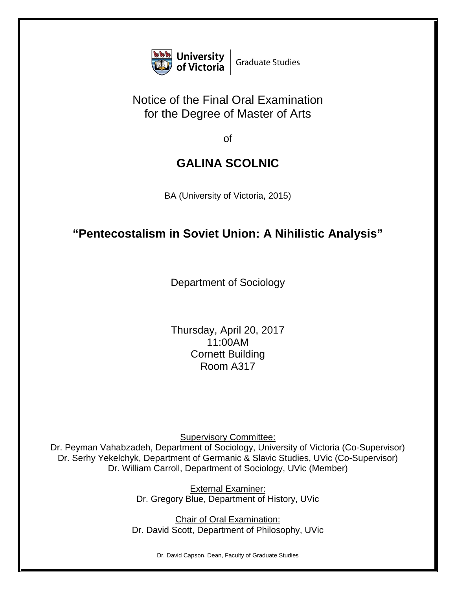

## Notice of the Final Oral Examination for the Degree of Master of Arts

of

## **GALINA SCOLNIC**

BA (University of Victoria, 2015)

## **"Pentecostalism in Soviet Union: A Nihilistic Analysis"**

Department of Sociology

Thursday, April 20, 2017 11:00AM Cornett Building Room A317

Supervisory Committee:

Dr. Peyman Vahabzadeh, Department of Sociology, University of Victoria (Co-Supervisor) Dr. Serhy Yekelchyk, Department of Germanic & Slavic Studies, UVic (Co-Supervisor) Dr. William Carroll, Department of Sociology, UVic (Member)

> External Examiner: Dr. Gregory Blue, Department of History, UVic

**Chair of Oral Examination:** Dr. David Scott, Department of Philosophy, UVic

Dr. David Capson, Dean, Faculty of Graduate Studies